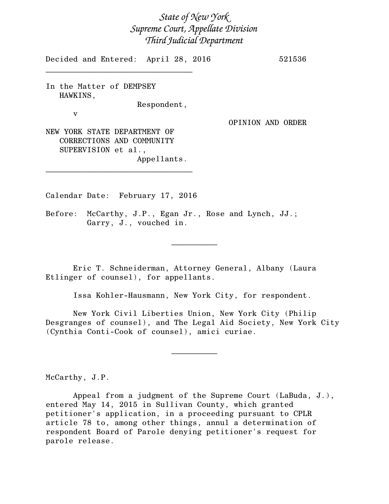# *State of New York Supreme Court, Appellate Division Third Judicial Department*

Decided and Entered: April 28, 2016 521536

In the Matter of DEMPSEY HAWKINS,

\_\_\_\_\_\_\_\_\_\_\_\_\_\_\_\_\_\_\_\_\_\_\_\_\_\_\_\_\_\_\_\_

Respondent,

v

OPINION AND ORDER

NEW YORK STATE DEPARTMENT OF CORRECTIONS AND COMMUNITY SUPERVISION et al., Appellants.

Calendar Date: February 17, 2016

\_\_\_\_\_\_\_\_\_\_\_\_\_\_\_\_\_\_\_\_\_\_\_\_\_\_\_\_\_\_\_\_

Before: McCarthy, J.P., Egan Jr., Rose and Lynch, JJ.; Garry, J., vouched in.

Eric T. Schneiderman, Attorney General, Albany (Laura Etlinger of counsel), for appellants.

Issa Kohler-Hausmann, New York City, for respondent.

 $\frac{1}{2}$ 

New York Civil Liberties Union, New York City (Philip Desgranges of counsel), and The Legal Aid Society, New York City (Cynthia Conti-Cook of counsel), amici curiae.

 $\frac{1}{2}$ 

McCarthy, J.P.

Appeal from a judgment of the Supreme Court (LaBuda, J.), entered May 14, 2015 in Sullivan County, which granted petitioner's application, in a proceeding pursuant to CPLR article 78 to, among other things, annul a determination of respondent Board of Parole denying petitioner's request for parole release.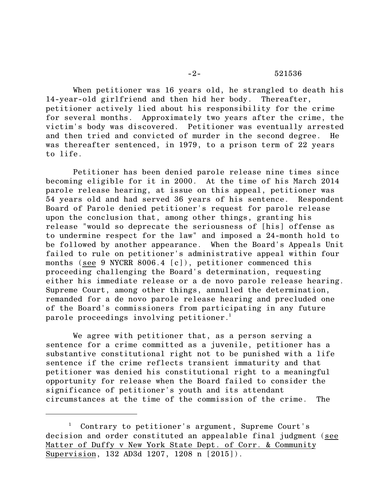When petitioner was 16 years old, he strangled to death his 14-year-old girlfriend and then hid her body. Thereafter, petitioner actively lied about his responsibility for the crime for several months. Approximately two years after the crime, the victim's body was discovered. Petitioner was eventually arrested and then tried and convicted of murder in the second degree. He was thereafter sentenced, in 1979, to a prison term of 22 years to life.

Petitioner has been denied parole release nine times since becoming eligible for it in 2000. At the time of his March 2014 parole release hearing, at issue on this appeal, petitioner was 54 years old and had served 36 years of his sentence. Respondent Board of Parole denied petitioner's request for parole release upon the conclusion that, among other things, granting his release "would so deprecate the seriousness of [his] offense as to undermine respect for the law" and imposed a 24-month hold to be followed by another appearance. When the Board's Appeals Unit failed to rule on petitioner's administrative appeal within four months (see 9 NYCRR 8006.4 [c]), petitioner commenced this proceeding challenging the Board's determination, requesting either his immediate release or a de novo parole release hearing. Supreme Court, among other things, annulled the determination, remanded for a de novo parole release hearing and precluded one of the Board's commissioners from participating in any future parole proceedings involving petitioner.<sup>1</sup>

We agree with petitioner that, as a person serving a sentence for a crime committed as a juvenile, petitioner has a substantive constitutional right not to be punished with a life sentence if the crime reflects transient immaturity and that petitioner was denied his constitutional right to a meaningful opportunity for release when the Board failed to consider the significance of petitioner's youth and its attendant circumstances at the time of the commission of the crime. The

<sup>1</sup> Contrary to petitioner's argument, Supreme Court's decision and order constituted an appealable final judgment (see Matter of Duffy v New York State Dept. of Corr. & Community Supervision, 132 AD3d 1207, 1208 n [2015]).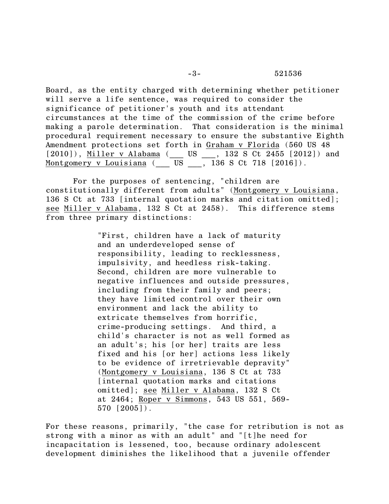Board, as the entity charged with determining whether petitioner will serve a life sentence, was required to consider the significance of petitioner's youth and its attendant circumstances at the time of the commission of the crime before making a parole determination. That consideration is the minimal procedural requirement necessary to ensure the substantive Eighth Amendment protections set forth in Graham v Florida (560 US 48 [2010]), <u>Miller v Alabama</u> (\_\_\_ US \_\_\_, 132 S Ct 2455 [2012]) and Montgomery v Louisiana  $\overline{U}$  US  $\overline{U}$ , 136 S Ct 718 [2016]).

For the purposes of sentencing, "children are constitutionally different from adults" (Montgomery v Louisiana, 136 S Ct at 733 [internal quotation marks and citation omitted]; see Miller v Alabama, 132 S Ct at 2458). This difference stems from three primary distinctions:

> "First, children have a lack of maturity and an underdeveloped sense of responsibility, leading to recklessness, impulsivity, and heedless risk-taking. Second, children are more vulnerable to negative influences and outside pressures, including from their family and peers; they have limited control over their own environment and lack the ability to extricate themselves from horrific, crime-producing settings. And third, a child's character is not as well formed as an adult's; his [or her] traits are less fixed and his [or her] actions less likely to be evidence of irretrievable depravity" (Montgomery v Louisiana, 136 S Ct at 733 [internal quotation marks and citations omitted]; see Miller v Alabama, 132 S Ct at 2464; Roper v Simmons, 543 US 551, 569- 570 [2005]).

For these reasons, primarily, "the case for retribution is not as strong with a minor as with an adult" and "[t]he need for incapacitation is lessened, too, because ordinary adolescent development diminishes the likelihood that a juvenile offender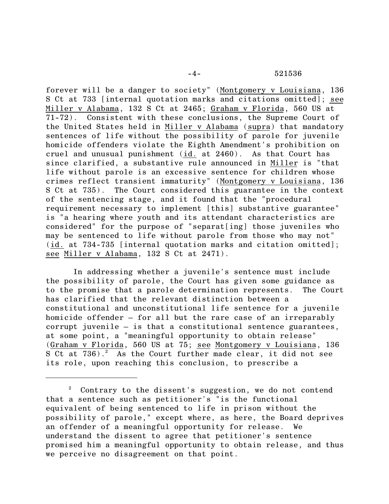forever will be a danger to society" (Montgomery v Louisiana, 136 S Ct at 733 [internal quotation marks and citations omitted]; see Miller v Alabama, 132 S Ct at 2465; Graham v Florida, 560 US at 71-72). Consistent with these conclusions, the Supreme Court of the United States held in Miller v Alabama (supra) that mandatory sentences of life without the possibility of parole for juvenile homicide offenders violate the Eighth Amendment's prohibition on cruel and unusual punishment (id. at 2460). As that Court has since clarified, a substantive rule announced in Miller is "that life without parole is an excessive sentence for children whose crimes reflect transient immaturity" (Montgomery v Louisiana, 136 S Ct at 735). The Court considered this guarantee in the context of the sentencing stage, and it found that the "procedural requirement necessary to implement [this] substantive guarantee" is "a hearing where youth and its attendant characteristics are considered" for the purpose of "separat[ing] those juveniles who may be sentenced to life without parole from those who may not" (id. at 734-735 [internal quotation marks and citation omitted]; see Miller v Alabama, 132 S Ct at 2471).

In addressing whether a juvenile's sentence must include the possibility of parole, the Court has given some guidance as to the promise that a parole determination represents. The Court has clarified that the relevant distinction between a constitutional and unconstitutional life sentence for a juvenile homicide offender – for all but the rare case of an irreparably corrupt juvenile – is that a constitutional sentence guarantees, at some point, a "meaningful opportunity to obtain release" (Graham v Florida, 560 US at 75; see Montgomery v Louisiana, 136 S Ct at  $736$ .<sup>2</sup> As the Court further made clear, it did not see its role, upon reaching this conclusion, to prescribe a

Contrary to the dissent's suggestion, we do not contend that a sentence such as petitioner's "is the functional equivalent of being sentenced to life in prison without the possibility of parole," except where, as here, the Board deprives an offender of a meaningful opportunity for release. We understand the dissent to agree that petitioner's sentence promised him a meaningful opportunity to obtain release, and thus we perceive no disagreement on that point.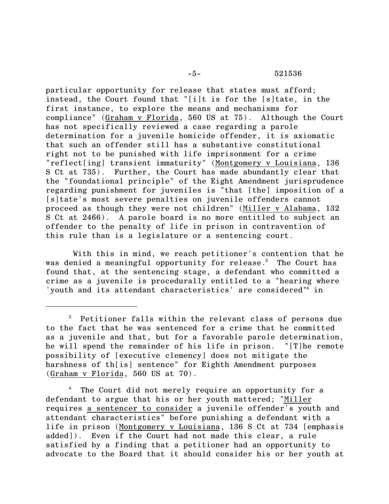## -5- 521536

particular opportunity for release that states must afford; instead, the Court found that "[i]t is for the [s]tate, in the first instance, to explore the means and mechanisms for compliance" (Graham v Florida, 560 US at 75). Although the Court has not specifically reviewed a case regarding a parole determination for a juvenile homicide offender, it is axiomatic that such an offender still has a substantive constitutional right not to be punished with life imprisonment for a crime "reflect[ing] transient immaturity" (Montgomery v Louisiana, 136 S Ct at 735). Further, the Court has made abundantly clear that the "foundational principle" of the Eight Amendment jurisprudence regarding punishment for juveniles is "that [the] imposition of a [s]tate's most severe penalties on juvenile offenders cannot proceed as though they were not children" (Miller v Alabama, 132 S Ct at 2466). A parole board is no more entitled to subject an offender to the penalty of life in prison in contravention of this rule than is a legislature or a sentencing court.

With this in mind, we reach petitioner's contention that he was denied a meaningful opportunity for release.<sup>3</sup> The Court has found that, at the sentencing stage, a defendant who committed a crime as a juvenile is procedurally entitled to a "hearing where 'youth and its attendant characteristics' are considered<sup>"4</sup> in

<sup>4</sup> The Court did not merely require an opportunity for a defendant to argue that his or her youth mattered; "Miller requires a sentencer to consider a juvenile offender's youth and attendant characteristics" before punishing a defendant with a life in prison (Montgomery v Louisiana, 136 S Ct at 734 [emphasis added]). Even if the Court had not made this clear, a rule satisfied by a finding that a petitioner had an opportunity to advocate to the Board that it should consider his or her youth at

<sup>&</sup>lt;sup>3</sup> Petitioner falls within the relevant class of persons due to the fact that he was sentenced for a crime that he committed as a juvenile and that, but for a favorable parole determination, he will spend the remainder of his life in prison. "[T]he remote possibility of [executive clemency] does not mitigate the harshness of th[is] sentence" for Eighth Amendment purposes (Graham v Florida, 560 US at 70).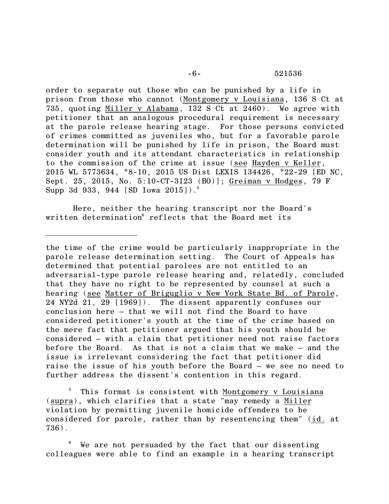order to separate out those who can be punished by a life in prison from those who cannot (Montgomery v Louisiana, 136 S Ct at 735, quoting Miller v Alabama, 132 S Ct at 2460). We agree with petitioner that an analogous procedural requirement is necessary at the parole release hearing stage. For those persons convicted of crimes committed as juveniles who, but for a favorable parole determination will be punished by life in prison, the Board must consider youth and its attendant characteristics in relationship to the commission of the crime at issue (see Hayden v Keller, 2015 WL 5773634, \*8-10, 2015 US Dist LEXIS 134426, \*22-29 [ED NC, Sept. 25, 2015, No. 5:10-CT-3123 (BO)]; Greiman v Hodges, 79 F Supp 3d 933, 944 [SD Iowa 2015]).<sup>5</sup>

Here, neither the hearing transcript nor the Board's written determination<sup>6</sup> reflects that the Board met its

the time of the crime would be particularly inappropriate in the parole release determination setting. The Court of Appeals has determined that potential parolees are not entitled to an adversarial-type parole release hearing and, relatedly, concluded that they have no right to be represented by counsel at such a hearing (see Matter of Briguglio v New York State Bd. of Parole, 24 NY2d 21, 29 [1969]). The dissent apparently confuses our conclusion here – that we will not find the Board to have considered petitioner's youth at the time of the crime based on the mere fact that petitioner argued that his youth should be considered – with a claim that petitioner need not raise factors before the Board. As that is not a claim that we make – and the issue is irrelevant considering the fact that petitioner did raise the issue of his youth before the Board – we see no need to further address the dissent's contention in this regard.

<sup>5</sup> This format is consistent with Montgomery v Louisiana (supra), which clarifies that a state "may remedy a Miller violation by permitting juvenile homicide offenders to be considered for parole, rather than by resentencing them" (id. at 736).

We are not persuaded by the fact that our dissenting colleagues were able to find an example in a hearing transcript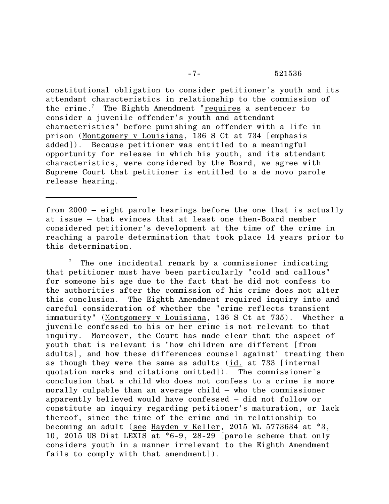constitutional obligation to consider petitioner's youth and its attendant characteristics in relationship to the commission of the crime.<sup>7</sup> The Eighth Amendment "requires a sentencer to consider a juvenile offender's youth and attendant characteristics" before punishing an offender with a life in prison (Montgomery v Louisiana, 136 S Ct at 734 [emphasis added]). Because petitioner was entitled to a meaningful opportunity for release in which his youth, and its attendant characteristics, were considered by the Board, we agree with Supreme Court that petitioner is entitled to a de novo parole release hearing.

from 2000 – eight parole hearings before the one that is actually at issue — that evinces that at least one then-Board member considered petitioner's development at the time of the crime in reaching a parole determination that took place 14 years prior to this determination.

 $\frac{7}{1}$  The one incidental remark by a commissioner indicating that petitioner must have been particularly "cold and callous" for someone his age due to the fact that he did not confess to the authorities after the commission of his crime does not alter this conclusion. The Eighth Amendment required inquiry into and careful consideration of whether the "crime reflects transient immaturity" (Montgomery v Louisiana, 136 S Ct at 735). Whether a juvenile confessed to his or her crime is not relevant to that inquiry. Moreover, the Court has made clear that the aspect of youth that is relevant is "how children are different [from adults], and how these differences counsel against" treating them as though they were the same as adults (id. at 733 [internal quotation marks and citations omitted]). The commissioner's conclusion that a child who does not confess to a crime is more morally culpable than an average child – who the commissioner apparently believed would have confessed – did not follow or constitute an inquiry regarding petitioner's maturation, or lack thereof, since the time of the crime and in relationship to becoming an adult (see Hayden v Keller, 2015 WL 5773634 at \*3, 10, 2015 US Dist LEXIS at \*6-9, 28-29 [parole scheme that only considers youth in a manner irrelevant to the Eighth Amendment fails to comply with that amendment]).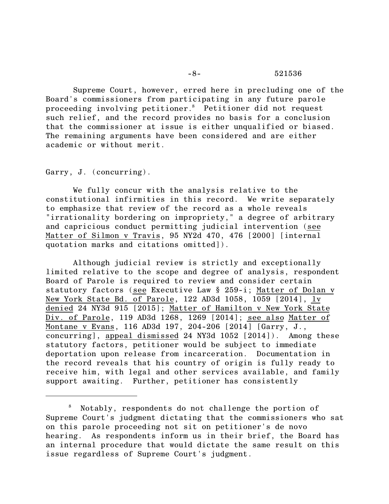### -8- 521536

Supreme Court, however, erred here in precluding one of the Board's commissioners from participating in any future parole proceeding involving petitioner.<sup>8</sup> Petitioner did not request such relief, and the record provides no basis for a conclusion that the commissioner at issue is either unqualified or biased. The remaining arguments have been considered and are either academic or without merit.

Garry, J. (concurring).

We fully concur with the analysis relative to the constitutional infirmities in this record. We write separately to emphasize that review of the record as a whole reveals "irrationality bordering on impropriety," a degree of arbitrary and capricious conduct permitting judicial intervention (see Matter of Silmon v Travis, 95 NY2d 470, 476 [2000] [internal quotation marks and citations omitted]).

Although judicial review is strictly and exceptionally limited relative to the scope and degree of analysis, respondent Board of Parole is required to review and consider certain statutory factors (see Executive Law § 259-i; Matter of Dolan v New York State Bd. of Parole, 122 AD3d 1058, 1059 [2014], lv denied 24 NY3d 915 [2015]; Matter of Hamilton v New York State Div. of Parole, 119 AD3d 1268, 1269 [2014]; see also Matter of Montane v Evans, 116 AD3d 197, 204-206 [2014] [Garry, J., concurring], appeal dismissed 24 NY3d 1052 [2014]). Among these statutory factors, petitioner would be subject to immediate deportation upon release from incarceration. Documentation in the record reveals that his country of origin is fully ready to receive him, with legal and other services available, and family support awaiting. Further, petitioner has consistently

<sup>8</sup> Notably, respondents do not challenge the portion of Supreme Court's judgment dictating that the commissioners who sat on this parole proceeding not sit on petitioner's de novo hearing. As respondents inform us in their brief, the Board has an internal procedure that would dictate the same result on this issue regardless of Supreme Court's judgment.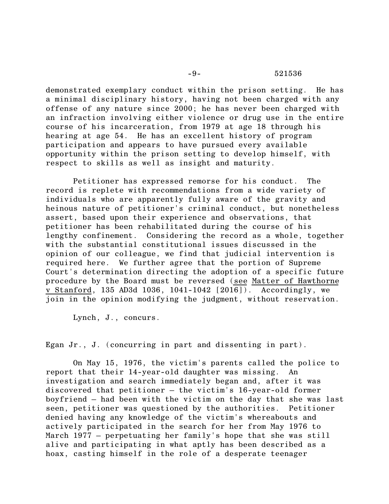### -9- 521536

demonstrated exemplary conduct within the prison setting. He has a minimal disciplinary history, having not been charged with any offense of any nature since 2000; he has never been charged with an infraction involving either violence or drug use in the entire course of his incarceration, from 1979 at age 18 through his hearing at age 54. He has an excellent history of program participation and appears to have pursued every available opportunity within the prison setting to develop himself, with respect to skills as well as insight and maturity.

Petitioner has expressed remorse for his conduct. The record is replete with recommendations from a wide variety of individuals who are apparently fully aware of the gravity and heinous nature of petitioner's criminal conduct, but nonetheless assert, based upon their experience and observations, that petitioner has been rehabilitated during the course of his lengthy confinement. Considering the record as a whole, together with the substantial constitutional issues discussed in the opinion of our colleague, we find that judicial intervention is required here. We further agree that the portion of Supreme Court's determination directing the adoption of a specific future procedure by the Board must be reversed (see Matter of Hawthorne v Stanford, 135 AD3d 1036, 1041-1042 [2016]). Accordingly, we join in the opinion modifying the judgment, without reservation.

Lynch, J., concurs.

Egan Jr., J. (concurring in part and dissenting in part).

On May 15, 1976, the victim's parents called the police to report that their 14-year-old daughter was missing. An investigation and search immediately began and, after it was discovered that petitioner – the victim's 16-year-old former boyfriend – had been with the victim on the day that she was last seen, petitioner was questioned by the authorities. Petitioner denied having any knowledge of the victim's whereabouts and actively participated in the search for her from May 1976 to March 1977 – perpetuating her family's hope that she was still alive and participating in what aptly has been described as a hoax, casting himself in the role of a desperate teenager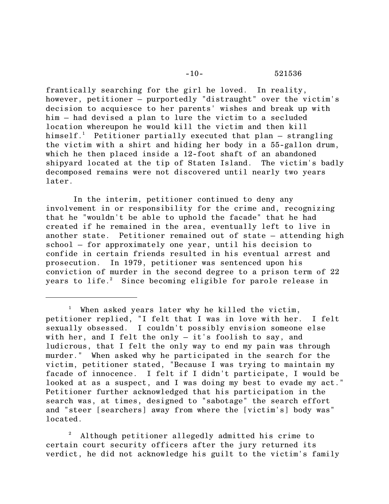frantically searching for the girl he loved. In reality, however, petitioner – purportedly "distraught" over the victim's decision to acquiesce to her parents' wishes and break up with him – had devised a plan to lure the victim to a secluded location whereupon he would kill the victim and then kill himself.<sup>1</sup> Petitioner partially executed that plan  $-$  strangling the victim with a shirt and hiding her body in a 55-gallon drum, which he then placed inside a 12-foot shaft of an abandoned shipyard located at the tip of Staten Island. The victim's badly decomposed remains were not discovered until nearly two years later.

In the interim, petitioner continued to deny any involvement in or responsibility for the crime and, recognizing that he "wouldn't be able to uphold the facade" that he had created if he remained in the area, eventually left to live in another state. Petitioner remained out of state – attending high school – for approximately one year, until his decision to confide in certain friends resulted in his eventual arrest and prosecution. In 1979, petitioner was sentenced upon his conviction of murder in the second degree to a prison term of 22 years to life.<sup>2</sup> Since becoming eligible for parole release in

<sup>2</sup> Although petitioner allegedly admitted his crime to certain court security officers after the jury returned its verdict, he did not acknowledge his guilt to the victim's family

<sup>&</sup>lt;sup>1</sup> When asked years later why he killed the victim, petitioner replied, "I felt that I was in love with her. I felt sexually obsessed. I couldn't possibly envision someone else with her, and I felt the only  $-$  it's foolish to say, and ludicrous, that I felt the only way to end my pain was through murder." When asked why he participated in the search for the victim, petitioner stated, "Because I was trying to maintain my facade of innocence. I felt if I didn't participate, I would be looked at as a suspect, and I was doing my best to evade my act." Petitioner further acknowledged that his participation in the search was, at times, designed to "sabotage" the search effort and "steer [searchers] away from where the [victim's] body was" located.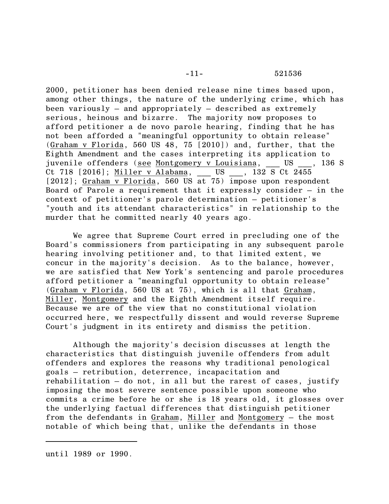2000, petitioner has been denied release nine times based upon, among other things, the nature of the underlying crime, which has been variously – and appropriately – described as extremely serious, heinous and bizarre. The majority now proposes to afford petitioner a de novo parole hearing, finding that he has not been afforded a "meaningful opportunity to obtain release" (Graham v Florida, 560 US 48, 75 [2010]) and, further, that the Eighth Amendment and the cases interpreting its application to juvenile offenders (see Montgomery v Louisiana, \_\_\_ US \_\_\_, 136 S Ct 718 [2016]; Miller v Alabama, \_\_\_ US \_\_\_, 132 S Ct 2455 [2012]; Graham v Florida, 560 US at 75) impose upon respondent Board of Parole a requirement that it expressly consider – in the context of petitioner's parole determination – petitioner's "youth and its attendant characteristics" in relationship to the murder that he committed nearly 40 years ago.

We agree that Supreme Court erred in precluding one of the Board's commissioners from participating in any subsequent parole hearing involving petitioner and, to that limited extent, we concur in the majority's decision. As to the balance, however, we are satisfied that New York's sentencing and parole procedures afford petitioner a "meaningful opportunity to obtain release" (Graham v Florida, 560 US at 75), which is all that Graham, Miller, Montgomery and the Eighth Amendment itself require. Because we are of the view that no constitutional violation occurred here, we respectfully dissent and would reverse Supreme Court's judgment in its entirety and dismiss the petition.

Although the majority's decision discusses at length the characteristics that distinguish juvenile offenders from adult offenders and explores the reasons why traditional penological goals – retribution, deterrence, incapacitation and rehabilitation – do not, in all but the rarest of cases, justify imposing the most severe sentence possible upon someone who commits a crime before he or she is 18 years old, it glosses over the underlying factual differences that distinguish petitioner from the defendants in Graham, Miller and Montgomery — the most notable of which being that, unlike the defendants in those

until 1989 or 1990.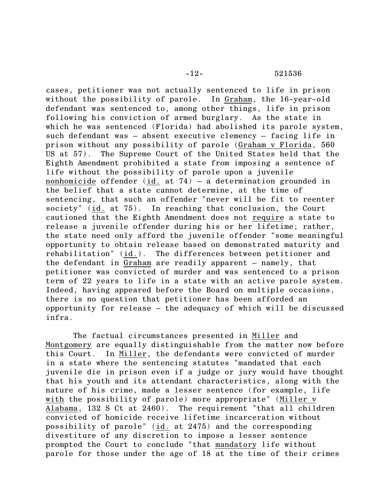cases, petitioner was not actually sentenced to life in prison without the possibility of parole. In Graham, the 16-year-old defendant was sentenced to, among other things, life in prison following his conviction of armed burglary. As the state in which he was sentenced (Florida) had abolished its parole system, such defendant was – absent executive clemency – facing life in prison without any possibility of parole (Graham v Florida, 560 US at 57). The Supreme Court of the United States held that the Eighth Amendment prohibited a state from imposing a sentence of life without the possibility of parole upon a juvenile nonhomicide offender (id. at 74) – a determination grounded in the belief that a state cannot determine, at the time of sentencing, that such an offender "never will be fit to reenter society" (id. at 75). In reaching that conclusion, the Court cautioned that the Eighth Amendment does not require a state to release a juvenile offender during his or her lifetime; rather, the state need only afford the juvenile offender "some meaningful opportunity to obtain release based on demonstrated maturity and rehabilitation" (id.). The differences between petitioner and the defendant in Graham are readily apparent – namely, that petitioner was convicted of murder and was sentenced to a prison term of 22 years to life in a state with an active parole system. Indeed, having appeared before the Board on multiple occasions, there is no question that petitioner has been afforded an opportunity for release – the adequacy of which will be discussed infra.

The factual circumstances presented in Miller and Montgomery are equally distinguishable from the matter now before this Court. In Miller, the defendants were convicted of murder in a state where the sentencing statutes "mandated that each juvenile die in prison even if a judge or jury would have thought that his youth and its attendant characteristics, along with the nature of his crime, made a lesser sentence (for example, life with the possibility of parole) more appropriate" (Miller v Alabama, 132 S Ct at 2460). The requirement "that all children convicted of homicide receive lifetime incarceration without possibility of parole" (id. at 2475) and the corresponding divestiture of any discretion to impose a lesser sentence prompted the Court to conclude "that mandatory life without parole for those under the age of 18 at the time of their crimes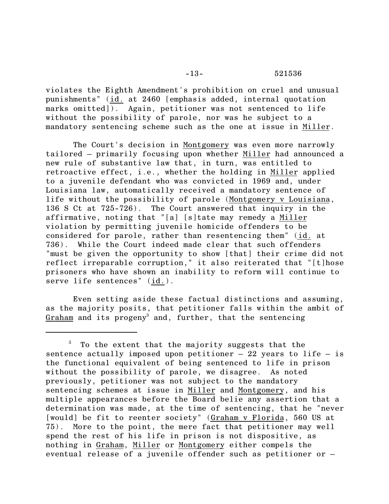-13- 521536

violates the Eighth Amendment's prohibition on cruel and unusual punishments" (id. at 2460 [emphasis added, internal quotation marks omitted]). Again, petitioner was not sentenced to life without the possibility of parole, nor was he subject to a mandatory sentencing scheme such as the one at issue in Miller.

The Court's decision in Montgomery was even more narrowly tailored – primarily focusing upon whether Miller had announced a new rule of substantive law that, in turn, was entitled to retroactive effect, i.e., whether the holding in Miller applied to a juvenile defendant who was convicted in 1969 and, under Louisiana law, automatically received a mandatory sentence of life without the possibility of parole (Montgomery v Louisiana, 136 S Ct at 725-726). The Court answered that inquiry in the affirmative, noting that "[a] [s]tate may remedy a Miller violation by permitting juvenile homicide offenders to be considered for parole, rather than resentencing them" (id. at 736). While the Court indeed made clear that such offenders "must be given the opportunity to show [that] their crime did not reflect irreparable corruption," it also reiterated that "[t]hose prisoners who have shown an inability to reform will continue to serve life sentences" (id.).

Even setting aside these factual distinctions and assuming, as the majority posits, that petitioner falls within the ambit of Graham and its progeny<sup>3</sup> and, further, that the sentencing

<sup>&</sup>lt;sup>3</sup> To the extent that the majority suggests that the sentence actually imposed upon petitioner  $-22$  years to life  $-$  is the functional equivalent of being sentenced to life in prison without the possibility of parole, we disagree. As noted previously, petitioner was not subject to the mandatory sentencing schemes at issue in Miller and Montgomery, and his multiple appearances before the Board belie any assertion that a determination was made, at the time of sentencing, that he "never [would] be fit to reenter society" (Graham v Florida, 560 US at 75). More to the point, the mere fact that petitioner may well spend the rest of his life in prison is not dispositive, as nothing in Graham, Miller or Montgomery either compels the eventual release of a juvenile offender such as petitioner or –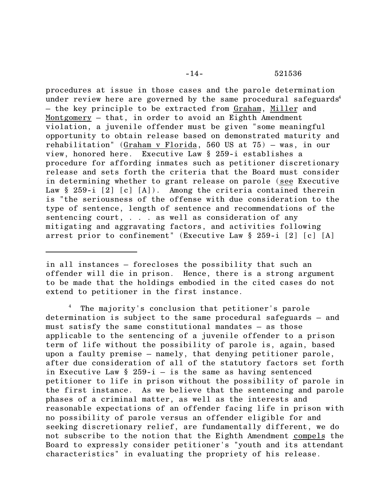procedures at issue in those cases and the parole determination under review here are governed by the same procedural safeguards<sup>4</sup> – the key principle to be extracted from Graham, Miller and Montgomery – that, in order to avoid an Eighth Amendment violation, a juvenile offender must be given "some meaningful opportunity to obtain release based on demonstrated maturity and rehabilitation" (Graham v Florida, 560 US at 75) – was, in our view, honored here. Executive Law § 259-i establishes a procedure for affording inmates such as petitioner discretionary release and sets forth the criteria that the Board must consider in determining whether to grant release on parole (see Executive Law  $\S 259-i [2] [c] [A])$ . Among the criteria contained therein is "the seriousness of the offense with due consideration to the type of sentence, length of sentence and recommendations of the sentencing court, . . . as well as consideration of any mitigating and aggravating factors, and activities following arrest prior to confinement" (Executive Law § 259-i [2] [c] [A]

<sup>4</sup> The majority's conclusion that petitioner's parole determination is subject to the same procedural safeguards – and must satisfy the same constitutional mandates – as those applicable to the sentencing of a juvenile offender to a prison term of life without the possibility of parole is, again, based upon a faulty premise – namely, that denying petitioner parole, after due consideration of all of the statutory factors set forth in Executive Law  $\S$  259-i – is the same as having sentenced petitioner to life in prison without the possibility of parole in the first instance. As we believe that the sentencing and parole phases of a criminal matter, as well as the interests and reasonable expectations of an offender facing life in prison with no possibility of parole versus an offender eligible for and seeking discretionary relief, are fundamentally different, we do not subscribe to the notion that the Eighth Amendment compels the Board to expressly consider petitioner's "youth and its attendant characteristics" in evaluating the propriety of his release.

in all instances – forecloses the possibility that such an offender will die in prison. Hence, there is a strong argument to be made that the holdings embodied in the cited cases do not extend to petitioner in the first instance.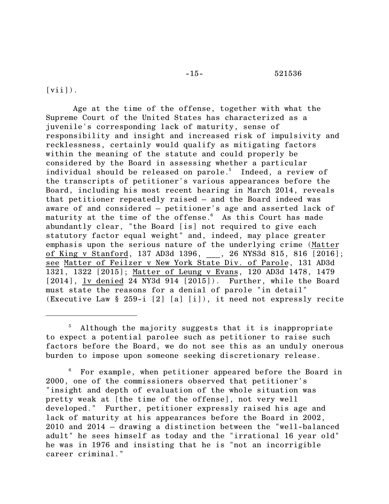#### -15- 521536

# $\lceil \text{vii} \rceil$ ).

Age at the time of the offense, together with what the Supreme Court of the United States has characterized as a juvenile's corresponding lack of maturity, sense of responsibility and insight and increased risk of impulsivity and recklessness, certainly would qualify as mitigating factors within the meaning of the statute and could properly be considered by the Board in assessing whether a particular individual should be released on parole.<sup>5</sup> Indeed, a review of the transcripts of petitioner's various appearances before the Board, including his most recent hearing in March 2014, reveals that petitioner repeatedly raised – and the Board indeed was aware of and considered – petitioner's age and asserted lack of maturity at the time of the offense. $6$  As this Court has made abundantly clear, "the Board [is] not required to give each statutory factor equal weight" and, indeed, may place greater emphasis upon the serious nature of the underlying crime (Matter of King v Stanford, 137 AD3d 1396, \_\_\_, 26 NYS3d 815, 816 [2016]; see Matter of Feilzer v New York State Div. of Parole, 131 AD3d 1321, 1322 [2015]; Matter of Leung v Evans, 120 AD3d 1478, 1479 [2014], lv denied 24 NY3d 914 [2015]). Further, while the Board must state the reasons for a denial of parole "in detail" (Executive Law § 259-i [2] [a] [i]), it need not expressly recite

<sup>&</sup>lt;sup>5</sup> Although the majority suggests that it is inappropriate to expect a potential parolee such as petitioner to raise such factors before the Board, we do not see this as an unduly onerous burden to impose upon someone seeking discretionary release.

<sup>6</sup> For example, when petitioner appeared before the Board in 2000, one of the commissioners observed that petitioner's "insight and depth of evaluation of the whole situation was pretty weak at [the time of the offense], not very well developed." Further, petitioner expressly raised his age and lack of maturity at his appearances before the Board in 2002, 2010 and 2014 – drawing a distinction between the "well-balanced adult" he sees himself as today and the "irrational 16 year old" he was in 1976 and insisting that he is "not an incorrigible career criminal."